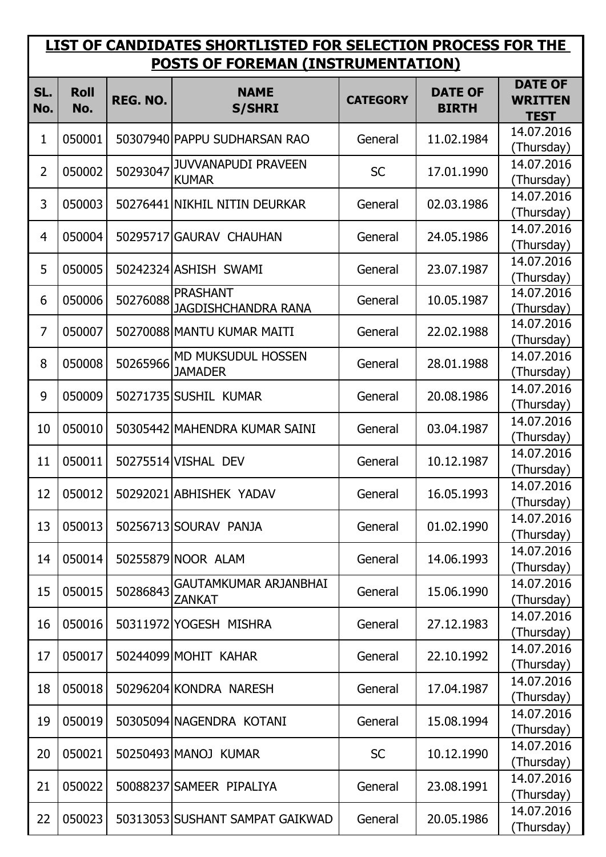## **LIST OF CANDIDATES SHORTLISTED FOR SELECTION PROCESS FOR THE POSTS OF FOREMAN (INSTRUMENTATION)**

| SL.<br>No.     | <b>Roll</b><br>No. | REG. NO. | <b>NAME</b><br><b>S/SHRI</b>                  | <b>CATEGORY</b> | <b>DATE OF</b><br><b>BIRTH</b> | <b>DATE OF</b><br><b>WRITTEN</b><br><b>TEST</b> |
|----------------|--------------------|----------|-----------------------------------------------|-----------------|--------------------------------|-------------------------------------------------|
| 1              | 050001             |          | 50307940 PAPPU SUDHARSAN RAO                  | General         | 11.02.1984                     | 14.07.2016<br>(Thursday)                        |
| $\overline{2}$ | 050002             | 50293047 | <b>JUVVANAPUDI PRAVEEN</b><br><b>KUMAR</b>    | <b>SC</b>       | 17.01.1990                     | 14.07.2016<br>(Thursday)                        |
| 3              | 050003             |          | 50276441 NIKHIL NITIN DEURKAR                 | General         | 02.03.1986                     | 14.07.2016<br>(Thursday)                        |
| $\overline{4}$ | 050004             |          | 50295717 GAURAV CHAUHAN                       | General         | 24.05.1986                     | 14.07.2016<br>(Thursday)                        |
| 5              | 050005             |          | 50242324 ASHISH SWAMI                         | General         | 23.07.1987                     | 14.07.2016<br>(Thursday)                        |
| 6              | 050006             | 50276088 | <b>PRASHANT</b><br><b>JAGDISHCHANDRA RANA</b> | General         | 10.05.1987                     | 14.07.2016<br>(Thursday)                        |
| 7              | 050007             |          | 50270088 MANTU KUMAR MAITI                    | General         | 22.02.1988                     | 14.07.2016<br>(Thursday)                        |
| 8              | 050008             | 50265966 | MD MUKSUDUL HOSSEN<br><b>JAMADER</b>          | General         | 28.01.1988                     | 14.07.2016<br>(Thursday)                        |
| 9              | 050009             |          | 50271735 SUSHIL KUMAR                         | General         | 20.08.1986                     | 14.07.2016<br>(Thursday)                        |
| 10             | 050010             |          | 50305442 MAHENDRA KUMAR SAINI                 | General         | 03.04.1987                     | 14.07.2016<br>(Thursday)                        |
| 11             | 050011             |          | 50275514 VISHAL DEV                           | General         | 10.12.1987                     | 14.07.2016<br>(Thursday)                        |
| 12             | 050012             |          | 50292021 ABHISHEK YADAV                       | General         | 16.05.1993                     | 14.07.2016<br>(Thursday)                        |
| 13             | 050013             |          | 50256713 SOURAV PANJA                         | General         | 01.02.1990                     | 14.07.2016<br>(Thursday)                        |
| 14             | 050014             |          | 50255879 NOOR ALAM                            | General         | 14.06.1993                     | 14.07.2016<br>(Thursday)                        |
| 15             | 050015             | 50286843 | GAUTAMKUMAR ARJANBHAI<br><b>ZANKAT</b>        | General         | 15.06.1990                     | 14.07.2016<br>(Thursday)                        |
| 16             | 050016             |          | 50311972 YOGESH MISHRA                        | General         | 27.12.1983                     | 14.07.2016<br>(Thursday)                        |
| 17             | 050017             |          | 50244099 MOHIT KAHAR                          | General         | 22.10.1992                     | 14.07.2016<br>(Thursday)                        |
| 18             | 050018             |          | 50296204 KONDRA NARESH                        | General         | 17.04.1987                     | 14.07.2016<br>(Thursday)                        |
| 19             | 050019             |          | 50305094 NAGENDRA KOTANI                      | General         | 15.08.1994                     | 14.07.2016<br>(Thursday)                        |
| 20             | 050021             |          | 50250493 MANOJ KUMAR                          | <b>SC</b>       | 10.12.1990                     | 14.07.2016<br>(Thursday)                        |
| 21             | 050022             |          | 50088237 SAMEER PIPALIYA                      | General         | 23.08.1991                     | 14.07.2016<br>(Thursday)                        |
| 22             | 050023             |          | 50313053 SUSHANT SAMPAT GAIKWAD               | General         | 20.05.1986                     | 14.07.2016<br>(Thursday)                        |